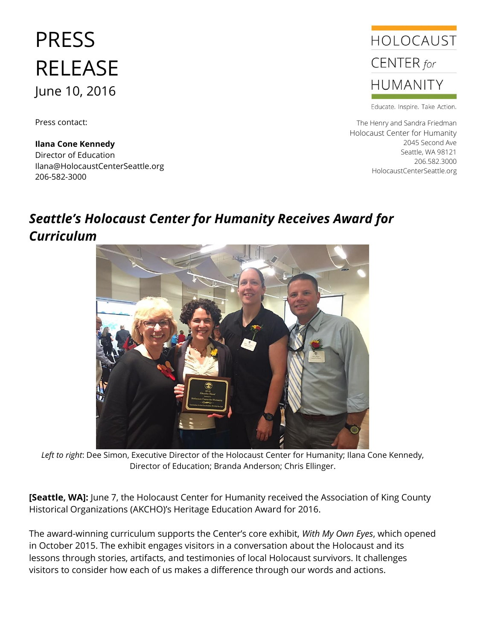## PRESS RELEASE June 10, 2016

Press contact:

**Ilana Cone Kennedy** Director of Education Ilana@HolocaustCenterSeattle.org 206-582-3000



Educate. Inspire. Take Action.

The Henry and Sandra Friedman Holocaust Center for Humanity 2045 Second Ave Seattle, WA 98121 206.582.3000 HolocaustCenterSeattle.org

## *Seattle's Holocaust Center for Humanity Receives Award for Curriculum*



*Left to right*: Dee Simon, Executive Director of the Holocaust Center for Humanity; Ilana Cone Kennedy, Director of Education; Branda Anderson; Chris Ellinger.

**[Seattle, WA]:** June 7, the Holocaust Center for Humanity received the Association of King County Historical Organizations (AKCHO)'s Heritage Education Award for 2016.

The award-winning curriculum supports the Center's core exhibit, *With My Own Eyes*, which opened in October 2015. The exhibit engages visitors in a conversation about the Holocaust and its lessons through stories, artifacts, and testimonies of local Holocaust survivors. It challenges visitors to consider how each of us makes a difference through our words and actions.